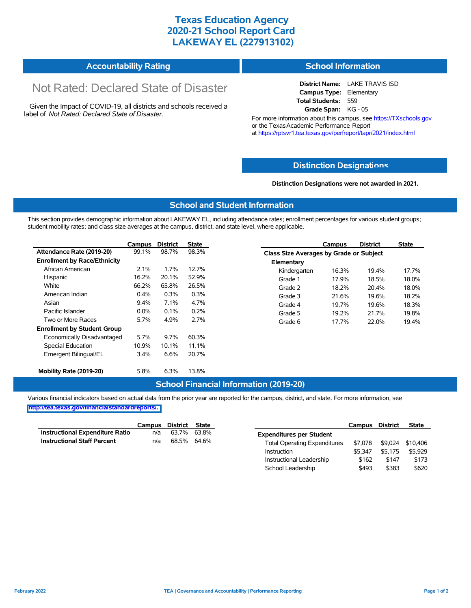# **Texas Education Agency 2020-21 School Report Card LAKEWAY EL (227913102)**

#### **Accountability Rating School Information**

# Not Rated: Declared State of Disaster

Given the Impact of COVID-19, all districts and schools received a label of *Not Rated: Declared State of Disaster.*

**District Name:** LAKE TRAVIS ISD **Campus Type:** Elementary **Total Students:** 559 **Grade Span:** KG - 05

For more information about this campus, see https://TXschools.gov or the Texas Academic Performance Report at https://rptsvr1.tea.texas.gov/perfreport/tapr/2021/index.html

### **Distinction Designat[ions](https://TXschools.gov)**

**Distinction Designations were not awarded in 2021.**

School Leadership  $$493$  \$383 \$620

#### **School and Student Information**

This section provides demographic information about LAKEWAY EL, including attendance rates; enrollment percentages for various student groups; student mobility rates; and class size averages at the campus, district, and state level, where applicable.

|                                     | Campus  | <b>District</b> | <b>State</b> |              | Campus                                  | <b>District</b> | <b>State</b> |  |  |  |
|-------------------------------------|---------|-----------------|--------------|--------------|-----------------------------------------|-----------------|--------------|--|--|--|
| Attendance Rate (2019-20)           | 99.1%   | 98.7%           | 98.3%        |              | Class Size Averages by Grade or Subject |                 |              |  |  |  |
| <b>Enrollment by Race/Ethnicity</b> |         |                 |              | Elementary   |                                         |                 |              |  |  |  |
| African American                    | 2.1%    | 1.7%            | 12.7%        | Kindergarten | 16.3%                                   | 19.4%           | 17.7%        |  |  |  |
| Hispanic                            | 16.2%   | 20.1%           | 52.9%        | Grade 1      | 17.9%                                   | 18.5%           | 18.0%        |  |  |  |
| White                               | 66.2%   | 65.8%           | 26.5%        | Grade 2      | 18.2%                                   | 20.4%           | 18.0%        |  |  |  |
| American Indian                     | $0.4\%$ | 0.3%            | 0.3%         | Grade 3      | 21.6%                                   | 19.6%           | 18.2%        |  |  |  |
| Asian                               | $9.4\%$ | 7.1%            | 4.7%         | Grade 4      | 19.7%                                   | 19.6%           | 18.3%        |  |  |  |
| Pacific Islander                    | $0.0\%$ | $0.1\%$         | 0.2%         | Grade 5      | 19.2%                                   | 21.7%           | 19.8%        |  |  |  |
| Two or More Races                   | 5.7%    | 4.9%            | 2.7%         | Grade 6      | 17.7%                                   | 22.0%           | 19.4%        |  |  |  |
| <b>Enrollment by Student Group</b>  |         |                 |              |              |                                         |                 |              |  |  |  |
| Economically Disadvantaged          | 5.7%    | $9.7\%$         | 60.3%        |              |                                         |                 |              |  |  |  |
| Special Education                   | 10.9%   | 10.1%           | 11.1%        |              |                                         |                 |              |  |  |  |
| Emergent Bilingual/EL               | 3.4%    | 6.6%            | 20.7%        |              |                                         |                 |              |  |  |  |
|                                     |         |                 |              |              |                                         |                 |              |  |  |  |
| Mobility Rate (2019-20)             | 5.8%    | 6.3%            | 13.8%        |              |                                         |                 |              |  |  |  |

#### **School Financial Information (2019-20)**

Various financial indicators based on actual data from the prior year are reported for the campus, district, and state. For more information, see

**[http://tea.texas.gov/financialstandardreports/.](http://tea.texas.gov/financialstandardreports/)**

|                                        | Campus | District | <b>State</b> |                                     | Campus  | <b>District</b> | <b>State</b> |
|----------------------------------------|--------|----------|--------------|-------------------------------------|---------|-----------------|--------------|
| <b>Instructional Expenditure Ratio</b> | n/a    | 63.7%    | 63.8%        | <b>Expenditures per Student</b>     |         |                 |              |
| <b>Instructional Staff Percent</b>     | n/a    | 68.5%    | 64.6%        | <b>Total Operating Expenditures</b> | \$7.078 | \$9.024         | \$10.406     |
|                                        |        |          |              | Instruction                         | \$5.347 | \$5.175         | \$5,929      |
|                                        |        |          |              | Instructional Leadership            | \$162   | \$147           | \$173        |